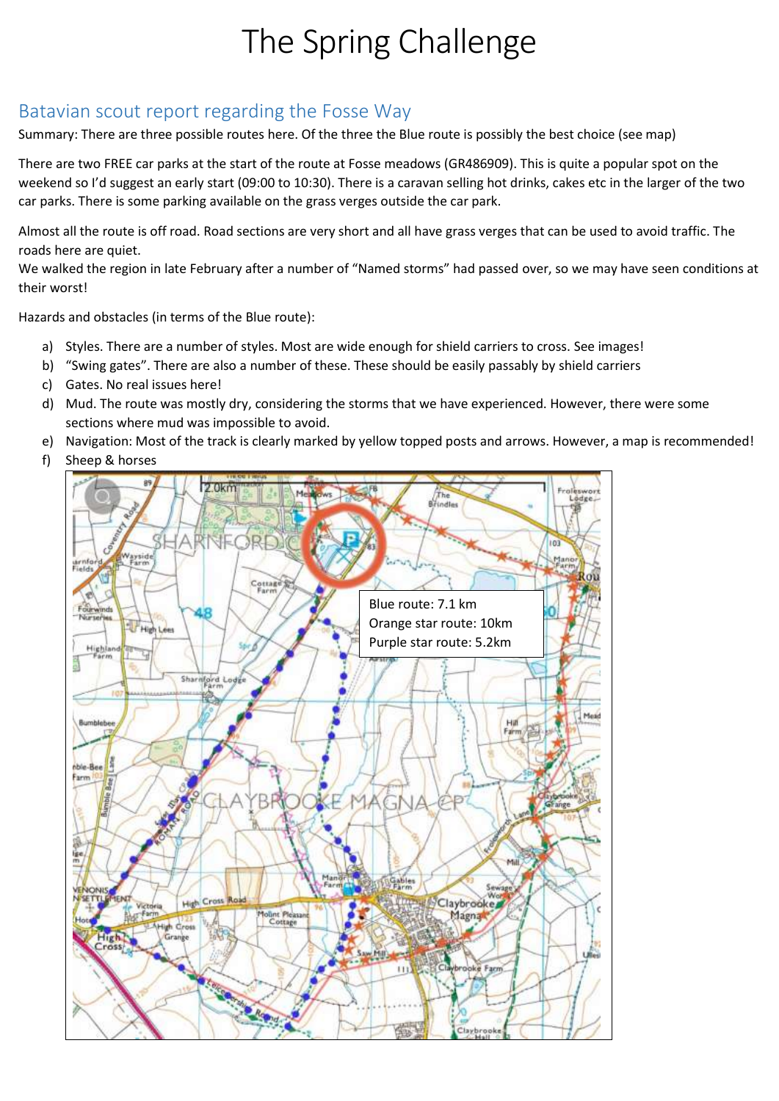## The Spring Challenge

## Batavian scout report regarding the Fosse Way

Summary: There are three possible routes here. Of the three the Blue route is possibly the best choice (see map)

There are two FREE car parks at the start of the route at Fosse meadows (GR486909). This is quite a popular spot on the weekend so I'd suggest an early start (09:00 to 10:30). There is a caravan selling hot drinks, cakes etc in the larger of the two car parks. There is some parking available on the grass verges outside the car park.

Almost all the route is off road. Road sections are very short and all have grass verges that can be used to avoid traffic. The roads here are quiet.

We walked the region in late February after a number of "Named storms" had passed over, so we may have seen conditions at their worst!

Hazards and obstacles (in terms of the Blue route):

- a) Styles. There are a number of styles. Most are wide enough for shield carriers to cross. See images!
- b) "Swing gates". There are also a number of these. These should be easily passably by shield carriers
- c) Gates. No real issues here!
- d) Mud. The route was mostly dry, considering the storms that we have experienced. However, there were some sections where mud was impossible to avoid.
- e) Navigation: Most of the track is clearly marked by yellow topped posts and arrows. However, a map is recommended!
- f) Sheep & horses

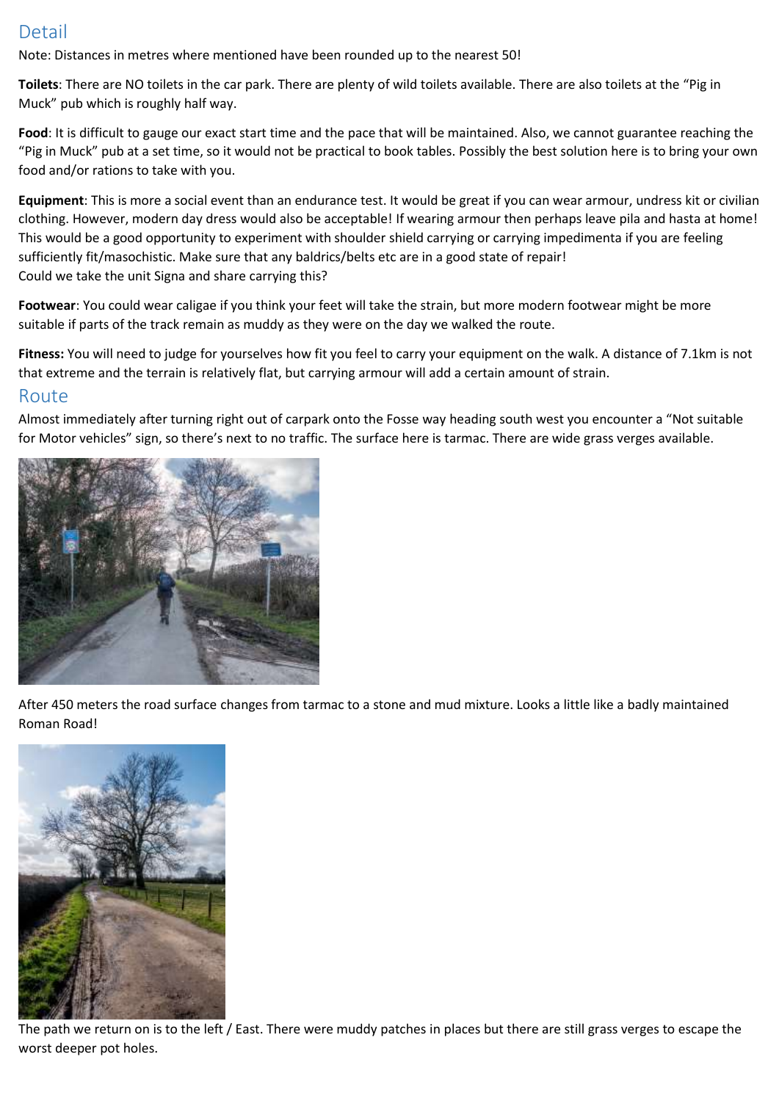## Detail

Note: Distances in metres where mentioned have been rounded up to the nearest 50!

**Toilets**: There are NO toilets in the car park. There are plenty of wild toilets available. There are also toilets at the "Pig in Muck" pub which is roughly half way.

**Food**: It is difficult to gauge our exact start time and the pace that will be maintained. Also, we cannot guarantee reaching the "Pig in Muck" pub at a set time, so it would not be practical to book tables. Possibly the best solution here is to bring your own food and/or rations to take with you.

**Equipment**: This is more a social event than an endurance test. It would be great if you can wear armour, undress kit or civilian clothing. However, modern day dress would also be acceptable! If wearing armour then perhaps leave pila and hasta at home! This would be a good opportunity to experiment with shoulder shield carrying or carrying impedimenta if you are feeling sufficiently fit/masochistic. Make sure that any baldrics/belts etc are in a good state of repair! Could we take the unit Signa and share carrying this?

**Footwear**: You could wear caligae if you think your feet will take the strain, but more modern footwear might be more suitable if parts of the track remain as muddy as they were on the day we walked the route.

**Fitness:** You will need to judge for yourselves how fit you feel to carry your equipment on the walk. A distance of 7.1km is not that extreme and the terrain is relatively flat, but carrying armour will add a certain amount of strain.

## Route

Almost immediately after turning right out of carpark onto the Fosse way heading south west you encounter a "Not suitable for Motor vehicles" sign, so there's next to no traffic. The surface here is tarmac. There are wide grass verges available.



After 450 meters the road surface changes from tarmac to a stone and mud mixture. Looks a little like a badly maintained Roman Road!



The path we return on is to the left / East. There were muddy patches in places but there are still grass verges to escape the worst deeper pot holes.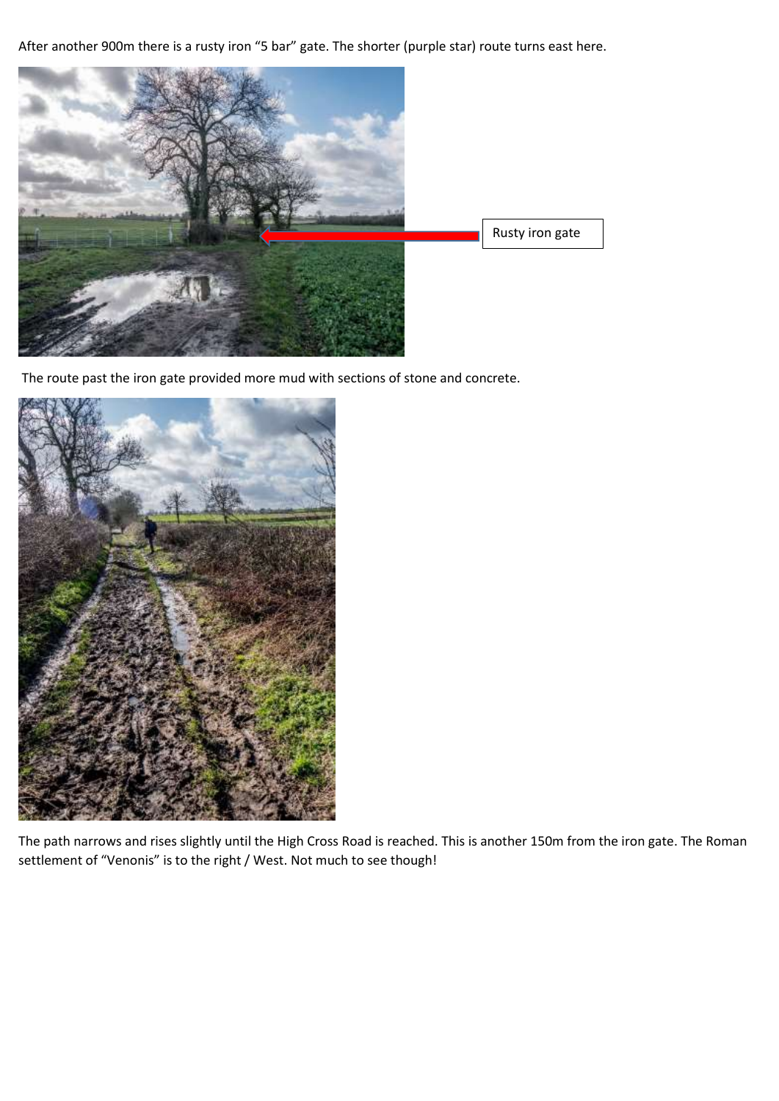After another 900m there is a rusty iron "5 bar" gate. The shorter (purple star) route turns east here.



The route past the iron gate provided more mud with sections of stone and concrete.



The path narrows and rises slightly until the High Cross Road is reached. This is another 150m from the iron gate. The Roman settlement of "Venonis" is to the right / West. Not much to see though!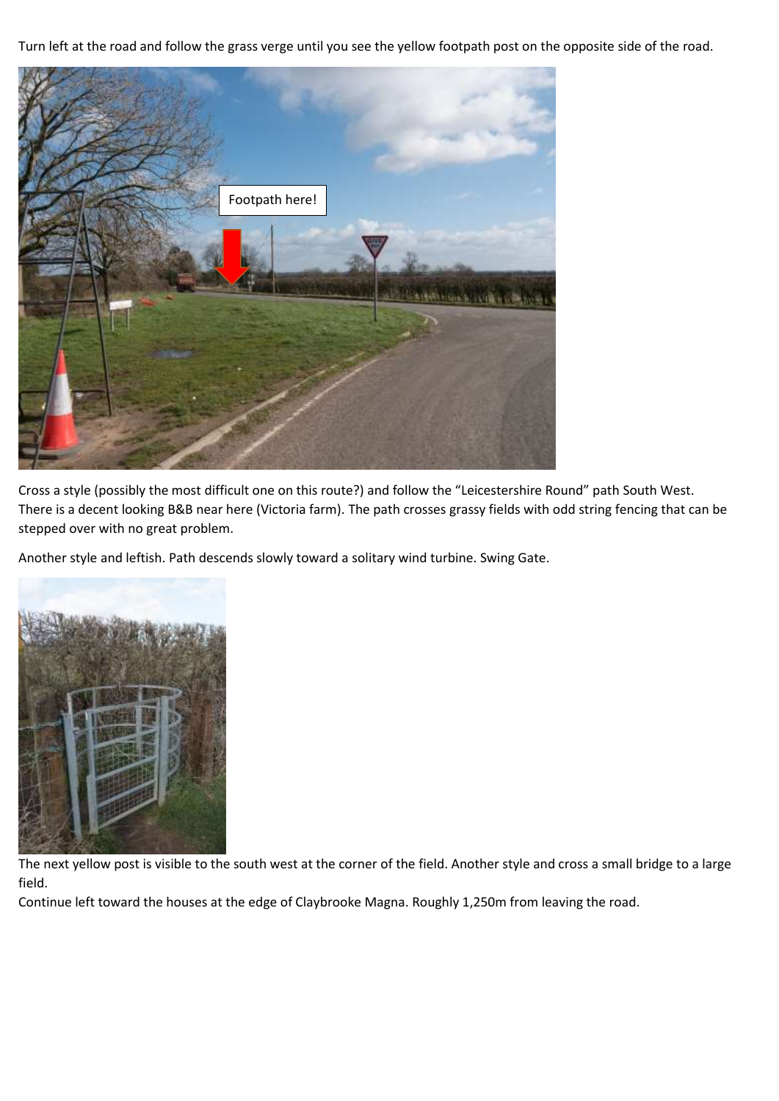Turn left at the road and follow the grass verge until you see the yellow footpath post on the opposite side of the road.



Cross a style (possibly the most difficult one on this route?) and follow the "Leicestershire Round" path South West. There is a decent looking B&B near here (Victoria farm). The path crosses grassy fields with odd string fencing that can be stepped over with no great problem.

Another style and leftish. Path descends slowly toward a solitary wind turbine. Swing Gate.



The next yellow post is visible to the south west at the corner of the field. Another style and cross a small bridge to a large field.

Continue left toward the houses at the edge of Claybrooke Magna. Roughly 1,250m from leaving the road.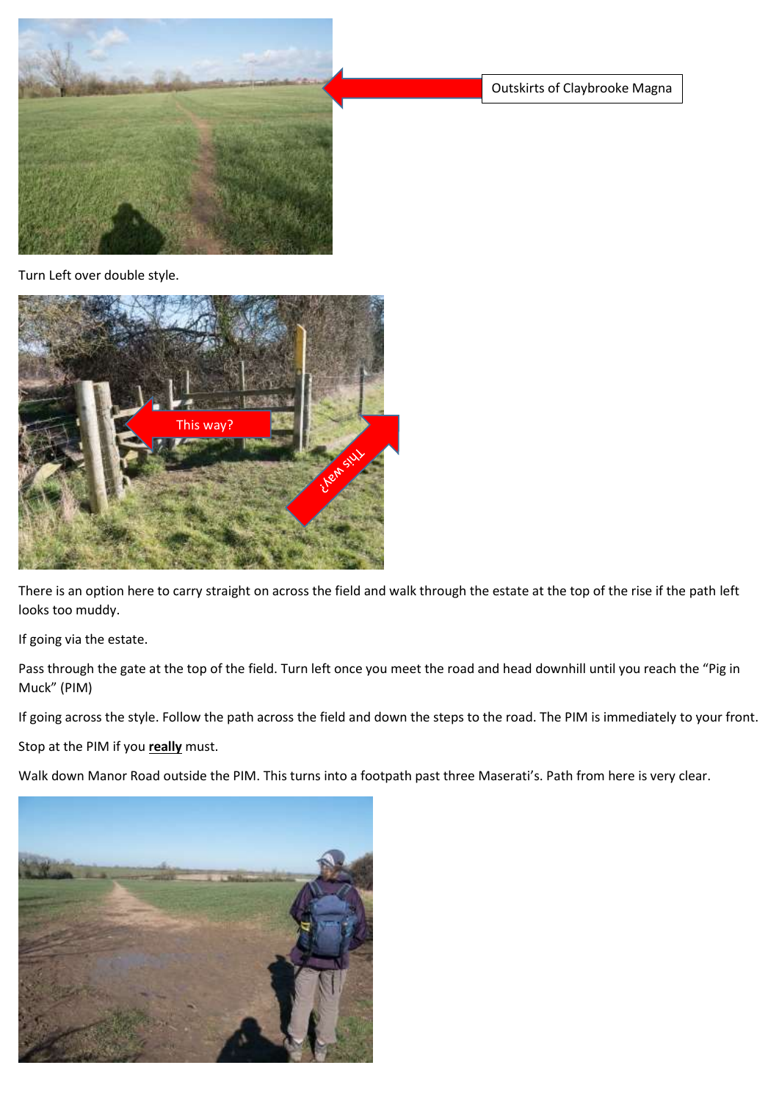

Outskirts of Claybrooke Magna

Turn Left over double style.



There is an option here to carry straight on across the field and walk through the estate at the top of the rise if the path left looks too muddy.

If going via the estate.

Pass through the gate at the top of the field. Turn left once you meet the road and head downhill until you reach the "Pig in Muck" (PIM)

If going across the style. Follow the path across the field and down the steps to the road. The PIM is immediately to your front.

Stop at the PIM if you **really** must.

Walk down Manor Road outside the PIM. This turns into a footpath past three Maserati's. Path from here is very clear.